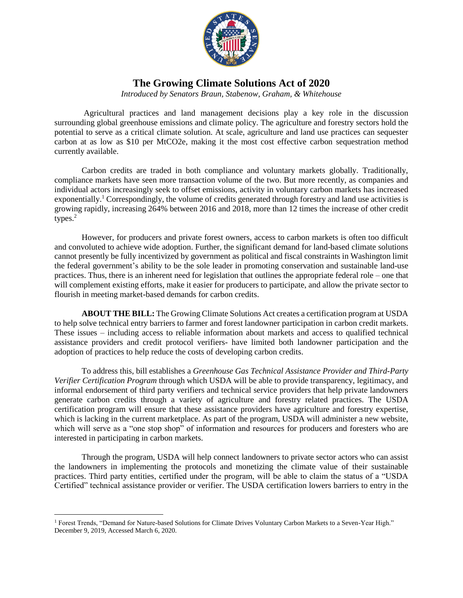

## **The Growing Climate Solutions Act of 2020**

*Introduced by Senators Braun, Stabenow, Graham, & Whitehouse*

Agricultural practices and land management decisions play a key role in the discussion surrounding global greenhouse emissions and climate policy. The agriculture and forestry sectors hold the potential to serve as a critical climate solution. At scale, agriculture and land use practices can sequester carbon at as low as \$10 per MtCO2e, making it the most cost effective carbon sequestration method currently available.

Carbon credits are traded in both compliance and voluntary markets globally. Traditionally, compliance markets have seen more transaction volume of the two. But more recently, as companies and individual actors increasingly seek to offset emissions, activity in voluntary carbon markets has increased exponentially.<sup>1</sup> Correspondingly, the volume of credits generated through forestry and land use activities is growing rapidly, increasing 264% between 2016 and 2018, more than 12 times the increase of other credit types.<sup>2</sup>

However, for producers and private forest owners, access to carbon markets is often too difficult and convoluted to achieve wide adoption. Further, the significant demand for land-based climate solutions cannot presently be fully incentivized by government as political and fiscal constraints in Washington limit the federal government's ability to be the sole leader in promoting conservation and sustainable land-use practices. Thus, there is an inherent need for legislation that outlines the appropriate federal role – one that will complement existing efforts, make it easier for producers to participate, and allow the private sector to flourish in meeting market-based demands for carbon credits.

**ABOUT THE BILL:** The Growing Climate Solutions Act creates a certification program at USDA to help solve technical entry barriers to farmer and forest landowner participation in carbon credit markets. These issues – including access to reliable information about markets and access to qualified technical assistance providers and credit protocol verifiers- have limited both landowner participation and the adoption of practices to help reduce the costs of developing carbon credits.

To address this, bill establishes a *Greenhouse Gas Technical Assistance Provider and Third-Party Verifier Certification Program* through which USDA will be able to provide transparency, legitimacy, and informal endorsement of third party verifiers and technical service providers that help private landowners generate carbon credits through a variety of agriculture and forestry related practices. The USDA certification program will ensure that these assistance providers have agriculture and forestry expertise, which is lacking in the current marketplace. As part of the program, USDA will administer a new website, which will serve as a "one stop shop" of information and resources for producers and foresters who are interested in participating in carbon markets.

Through the program, USDA will help connect landowners to private sector actors who can assist the landowners in implementing the protocols and monetizing the climate value of their sustainable practices. Third party entities, certified under the program, will be able to claim the status of a "USDA Certified" technical assistance provider or verifier. The USDA certification lowers barriers to entry in the

 $\overline{a}$ <sup>1</sup> Forest Trends, "Demand for Nature-based Solutions for Climate Drives Voluntary Carbon Markets to a Seven-Year High." December 9, 2019, Accessed March 6, 2020.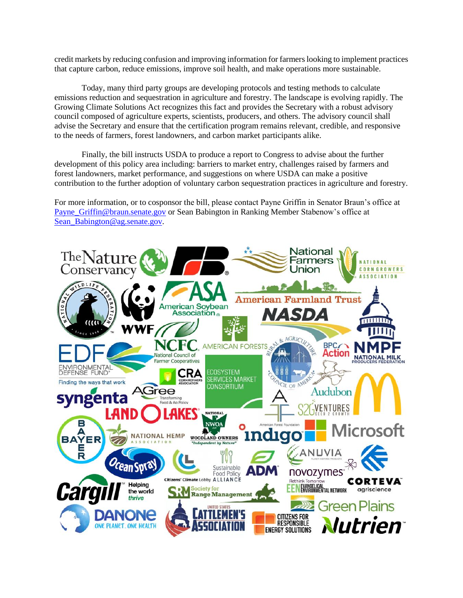credit markets by reducing confusion and improving information for farmers looking to implement practices that capture carbon, reduce emissions, improve soil health, and make operations more sustainable.

Today, many third party groups are developing protocols and testing methods to calculate emissions reduction and sequestration in agriculture and forestry. The landscape is evolving rapidly. The Growing Climate Solutions Act recognizes this fact and provides the Secretary with a robust advisory council composed of agriculture experts, scientists, producers, and others. The advisory council shall advise the Secretary and ensure that the certification program remains relevant, credible, and responsive to the needs of farmers, forest landowners, and carbon market participants alike.

Finally, the bill instructs USDA to produce a report to Congress to advise about the further development of this policy area including: barriers to market entry, challenges raised by farmers and forest landowners, market performance, and suggestions on where USDA can make a positive contribution to the further adoption of voluntary carbon sequestration practices in agriculture and forestry.

For more information, or to cosponsor the bill, please contact Payne Griffin in Senator Braun's office at [Payne\\_Griffin@braun.senate.gov](mailto:Payne_Griffin@braun.senate.gov) or Sean Babington in Ranking Member Stabenow's office at [Sean\\_Babington@ag.senate.gov.](mailto:Sean_Babington@ag.senate.gov)